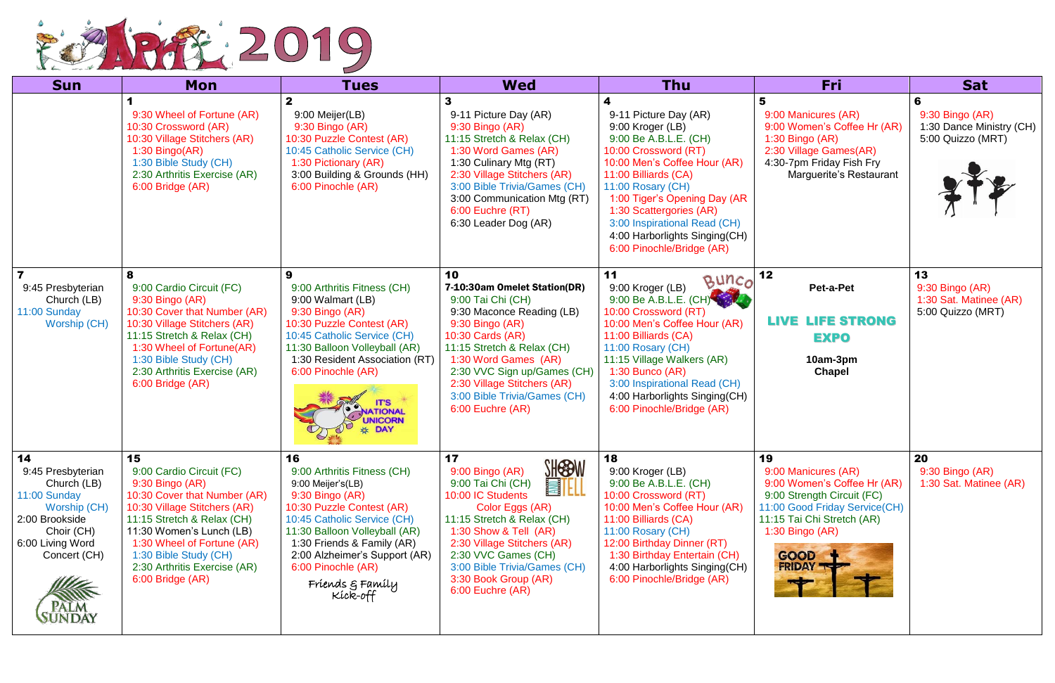

| <b>Sun</b>                                                                                                                                                                 | Mon                                                                                                                                                                                                                                                                                    | <b>Tues</b>                                                                                                                                                                                                                                                                                 | <b>Wed</b>                                                                                                                                                                                                                                                                                                  | <b>Thu</b>                                                                                                                                                                                                                                                                                                                       | Fri                                                                                                                                                                                                    | <b>Sat</b>                                                               |
|----------------------------------------------------------------------------------------------------------------------------------------------------------------------------|----------------------------------------------------------------------------------------------------------------------------------------------------------------------------------------------------------------------------------------------------------------------------------------|---------------------------------------------------------------------------------------------------------------------------------------------------------------------------------------------------------------------------------------------------------------------------------------------|-------------------------------------------------------------------------------------------------------------------------------------------------------------------------------------------------------------------------------------------------------------------------------------------------------------|----------------------------------------------------------------------------------------------------------------------------------------------------------------------------------------------------------------------------------------------------------------------------------------------------------------------------------|--------------------------------------------------------------------------------------------------------------------------------------------------------------------------------------------------------|--------------------------------------------------------------------------|
|                                                                                                                                                                            | 9:30 Wheel of Fortune (AR)<br>10:30 Crossword (AR)<br>10:30 Village Stitchers (AR)<br>$1:30$ Bingo(AR)<br>1:30 Bible Study (CH)<br>2:30 Arthritis Exercise (AR)<br>6:00 Bridge (AR)                                                                                                    | 9:00 Meijer(LB)<br>9:30 Bingo (AR)<br>10:30 Puzzle Contest (AR)<br>10:45 Catholic Service (CH)<br>1:30 Pictionary (AR)<br>3:00 Building & Grounds (HH)<br>6:00 Pinochle (AR)                                                                                                                | 9-11 Picture Day (AR)<br>9:30 Bingo (AR)<br>11:15 Stretch & Relax (CH)<br>1:30 Word Games (AR)<br>1:30 Culinary Mtg (RT)<br>2:30 Village Stitchers (AR)<br>3:00 Bible Trivia/Games (CH)<br>3:00 Communication Mtg (RT)<br>6:00 Euchre (RT)<br>6:30 Leader Dog (AR)                                          | 9-11 Picture Day (AR)<br>9:00 Kroger (LB)<br>9:00 Be A.B.L.E. (CH)<br>10:00 Crossword (RT)<br>10:00 Men's Coffee Hour (AR)<br>11:00 Billiards (CA)<br>11:00 Rosary (CH)<br>1:00 Tiger's Opening Day (AR<br>1:30 Scattergories (AR)<br>3:00 Inspirational Read (CH)<br>4:00 Harborlights Singing(CH)<br>6:00 Pinochle/Bridge (AR) | 5<br>9:00 Manicures (AR)<br>9:00 Women's Coffee Hr (AR)<br>$1:30$ Bingo (AR)<br>2:30 Village Games(AR)<br>4:30-7pm Friday Fish Fry<br>Marguerite's Restaurant                                          | 6<br>$9:30$ Bingo (AR)<br>1:30 Dance Ministry (CH)<br>5:00 Quizzo (MRT)  |
| $\overline{\mathbf{7}}$<br>9:45 Presbyterian<br>Church (LB)<br>11:00 Sunday<br><b>Worship (CH)</b>                                                                         | 8<br>9:00 Cardio Circuit (FC)<br>9:30 Bingo (AR)<br>10:30 Cover that Number (AR)<br>10:30 Village Stitchers (AR)<br>11:15 Stretch & Relax (CH)<br>1:30 Wheel of Fortune(AR)<br>1:30 Bible Study (CH)<br>2:30 Arthritis Exercise (AR)<br>6:00 Bridge (AR)                               | 9<br>9:00 Arthritis Fitness (CH)<br>9:00 Walmart (LB)<br>9:30 Bingo (AR)<br>10:30 Puzzle Contest (AR)<br>10:45 Catholic Service (CH)<br>11:30 Balloon Volleyball (AR)<br>1:30 Resident Association (RT)<br>6:00 Pinochle (AR)<br><b>TIONAL</b><br><b>UNICORN</b><br>DAY                     | 10<br>7-10:30am Omelet Station(DR)<br>9:00 Tai Chi (CH)<br>9:30 Maconce Reading (LB)<br>9:30 Bingo (AR)<br>10:30 Cards (AR)<br>11:15 Stretch & Relax (CH)<br>1:30 Word Games (AR)<br>2:30 VVC Sign up/Games (CH)<br>2:30 Village Stitchers (AR)<br>3:00 Bible Trivia/Games (CH)<br>6:00 Euchre (AR)         | 11<br>Buncol<br>9:00 Kroger (LB)<br>9:00 Be A.B.L.E. (CH)<br>10:00 Crossword (RT)<br>10:00 Men's Coffee Hour (AR)<br>11:00 Billiards (CA)<br>11:00 Rosary (CH)<br>11:15 Village Walkers (AR)<br>$1:30$ Bunco (AR)<br>3:00 Inspirational Read (CH)<br>4:00 Harborlights Singing(CH)<br>6:00 Pinochle/Bridge (AR)                  | 12<br>Pet-a-Pet<br><b>LIFE STRONG</b><br>LIVE<br><b>EXPO</b><br>10am-3pm<br>Chapel                                                                                                                     | 13<br>$9:30$ Bingo $(AR)$<br>1:30 Sat. Matinee (AR)<br>5:00 Quizzo (MRT) |
| 14<br>9:45 Presbyterian<br>Church (LB)<br>11:00 Sunday<br>Worship (CH)<br>2:00 Brookside<br>Choir (CH)<br>6:00 Living Word<br>Concert (CH)<br><b>PALM</b><br><b>SUNDAY</b> | 15<br>9:00 Cardio Circuit (FC)<br>9:30 Bingo (AR)<br>10:30 Cover that Number (AR)<br>10:30 Village Stitchers (AR)<br>11:15 Stretch & Relax (CH)<br>11:30 Women's Lunch (LB)<br>1:30 Wheel of Fortune (AR)<br>1:30 Bible Study (CH)<br>2:30 Arthritis Exercise (AR)<br>6:00 Bridge (AR) | 16<br>9:00 Arthritis Fitness (CH)<br>9:00 Meijer's(LB)<br>9:30 Bingo (AR)<br>10:30 Puzzle Contest (AR)<br>10:45 Catholic Service (CH)<br>11:30 Balloon Volleyball (AR)<br>1:30 Friends & Family (AR)<br>2:00 Alzheimer's Support (AR)<br>6:00 Pinochle (AR)<br>Friends & Family<br>Kíck-off | 17<br><b>SHESBW</b><br>9:00 Bingo (AR)<br>9:00 Tai Chi (CH)<br><b>EILL</b><br>10:00 IC Students<br>Color Eggs (AR)<br>11:15 Stretch & Relax (CH)<br>1:30 Show & Tell (AR)<br>2:30 Village Stitchers (AR)<br>2:30 VVC Games (CH)<br>3:00 Bible Trivia/Games (CH)<br>3:30 Book Group (AR)<br>6:00 Euchre (AR) | 18<br>9:00 Kroger (LB)<br>9:00 Be A.B.L.E. (CH)<br>10:00 Crossword (RT)<br>10:00 Men's Coffee Hour (AR)<br>11:00 Billiards (CA)<br>11:00 Rosary (CH)<br>12:00 Birthday Dinner (RT)<br>1:30 Birthday Entertain (CH)<br>4:00 Harborlights Singing(CH)<br>6:00 Pinochle/Bridge (AR)                                                 | 19<br>9:00 Manicures (AR)<br>9:00 Women's Coffee Hr (AR)<br>9:00 Strength Circuit (FC)<br>11:00 Good Friday Service(CH)<br>11:15 Tai Chi Stretch (AR)<br>$1:30$ Bingo (AR)<br>GOOD<br><b>FRIDAY TY</b> | 20<br>$9:30$ Bingo $(AR)$<br>1:30 Sat. Matinee (AR)                      |